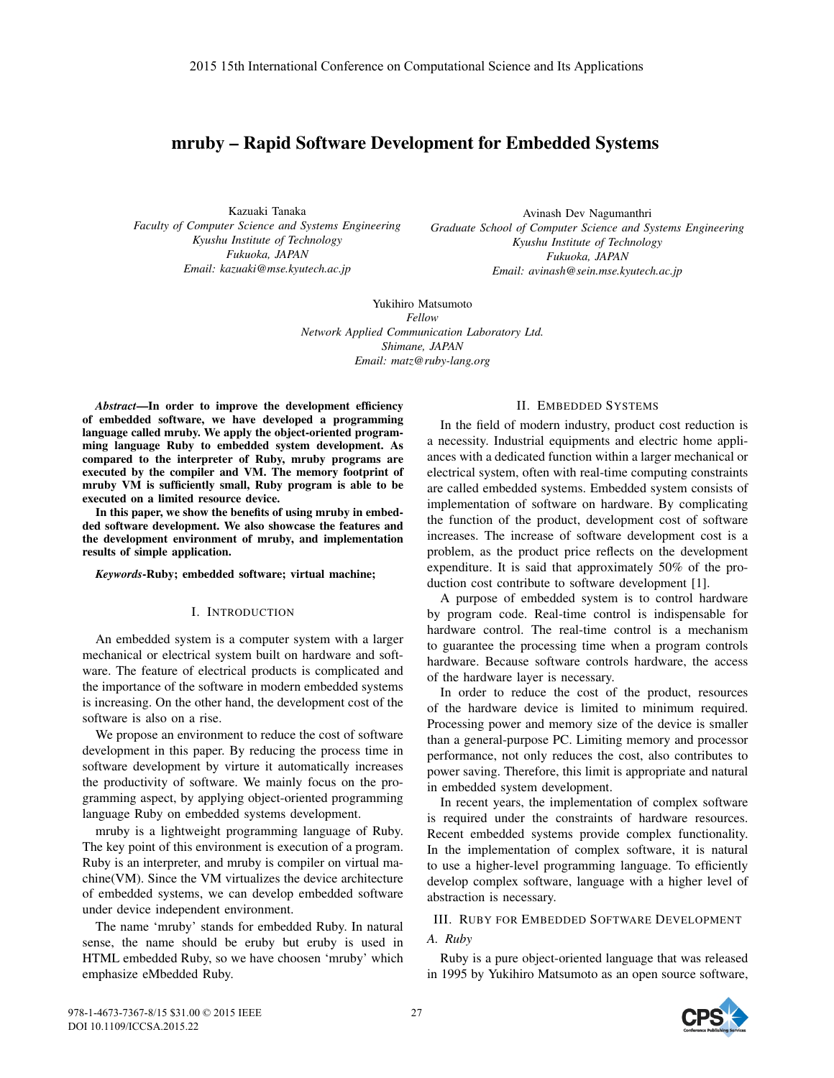# mruby – Rapid Software Development for Embedded Systems

Kazuaki Tanaka *Faculty of Computer Science and Systems Engineering Kyushu Institute of Technology Fukuoka, JAPAN Email: kazuaki@mse.kyutech.ac.jp*

Avinash Dev Nagumanthri *Graduate School of Computer Science and Systems Engineering Kyushu Institute of Technology Fukuoka, JAPAN Email: avinash@sein.mse.kyutech.ac.jp*

Yukihiro Matsumoto *Fellow Network Applied Communication Laboratory Ltd. Shimane, JAPAN Email: matz@ruby-lang.org*

*Abstract*—In order to improve the development efficiency of embedded software, we have developed a programming language called mruby. We apply the object-oriented programming language Ruby to embedded system development. As compared to the interpreter of Ruby, mruby programs are executed by the compiler and VM. The memory footprint of mruby VM is sufficiently small, Ruby program is able to be executed on a limited resource device.

In this paper, we show the benefits of using mruby in embedded software development. We also showcase the features and the development environment of mruby, and implementation results of simple application.

*Keywords*-Ruby; embedded software; virtual machine;

## I. INTRODUCTION

An embedded system is a computer system with a larger mechanical or electrical system built on hardware and software. The feature of electrical products is complicated and the importance of the software in modern embedded systems is increasing. On the other hand, the development cost of the software is also on a rise.

We propose an environment to reduce the cost of software development in this paper. By reducing the process time in software development by virture it automatically increases the productivity of software. We mainly focus on the programming aspect, by applying object-oriented programming language Ruby on embedded systems development.

mruby is a lightweight programming language of Ruby. The key point of this environment is execution of a program. Ruby is an interpreter, and mruby is compiler on virtual machine(VM). Since the VM virtualizes the device architecture of embedded systems, we can develop embedded software under device independent environment.

The name 'mruby' stands for embedded Ruby. In natural sense, the name should be eruby but eruby is used in HTML embedded Ruby, so we have choosen 'mruby' which emphasize eMbedded Ruby.

#### II. EMBEDDED SYSTEMS

In the field of modern industry, product cost reduction is a necessity. Industrial equipments and electric home appliances with a dedicated function within a larger mechanical or electrical system, often with real-time computing constraints are called embedded systems. Embedded system consists of implementation of software on hardware. By complicating the function of the product, development cost of software increases. The increase of software development cost is a problem, as the product price reflects on the development expenditure. It is said that approximately 50% of the production cost contribute to software development [1].

A purpose of embedded system is to control hardware by program code. Real-time control is indispensable for hardware control. The real-time control is a mechanism to guarantee the processing time when a program controls hardware. Because software controls hardware, the access of the hardware layer is necessary.

In order to reduce the cost of the product, resources of the hardware device is limited to minimum required. Processing power and memory size of the device is smaller than a general-purpose PC. Limiting memory and processor performance, not only reduces the cost, also contributes to power saving. Therefore, this limit is appropriate and natural in embedded system development.

In recent years, the implementation of complex software is required under the constraints of hardware resources. Recent embedded systems provide complex functionality. In the implementation of complex software, it is natural to use a higher-level programming language. To efficiently develop complex software, language with a higher level of abstraction is necessary.

## III. RUBY FOR EMBEDDED SOFTWARE DEVELOPMENT *A. Ruby*

Ruby is a pure object-oriented language that was released in 1995 by Yukihiro Matsumoto as an open source software,

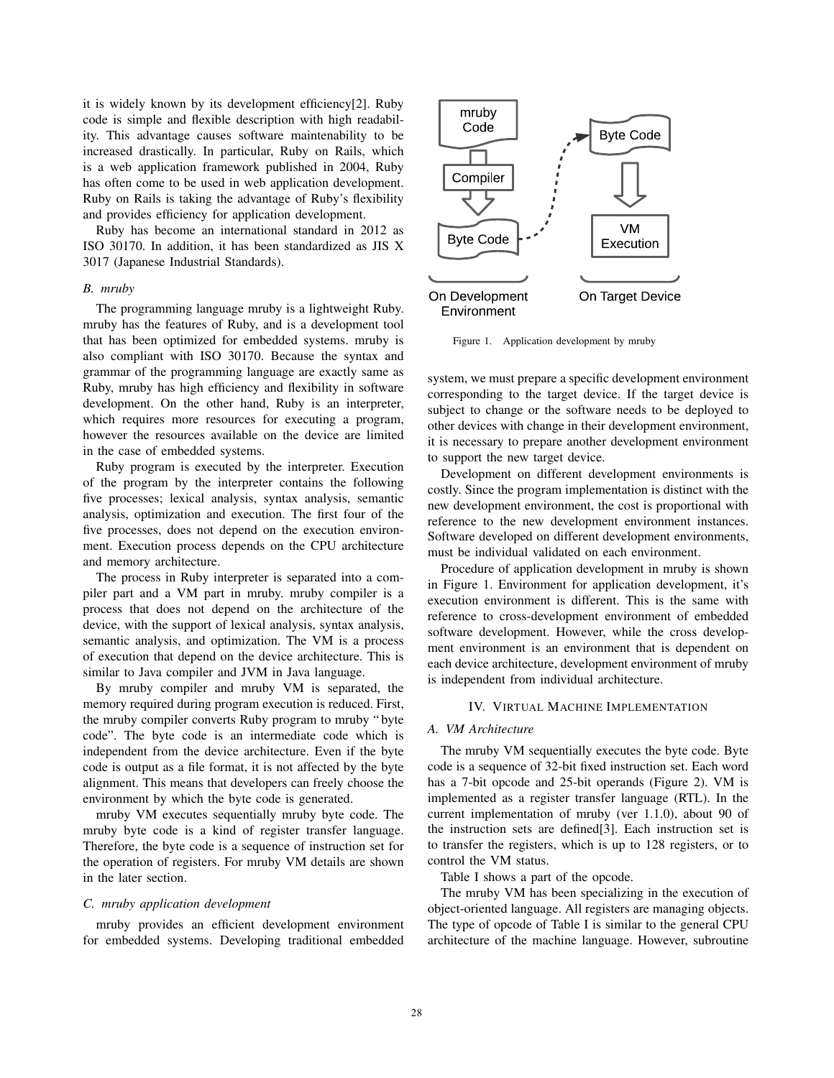it is widely known by its development efficiency[2]. Ruby code is simple and flexible description with high readability. This advantage causes software maintenability to be increased drastically. In particular, Ruby on Rails, which is a web application framework published in 2004, Ruby has often come to be used in web application development. Ruby on Rails is taking the advantage of Ruby's flexibility and provides efficiency for application development.

Ruby has become an international standard in 2012 as ISO 30170. In addition, it has been standardized as JIS X 3017 (Japanese Industrial Standards).

#### *B. mruby*

The programming language mruby is a lightweight Ruby. mruby has the features of Ruby, and is a development tool that has been optimized for embedded systems. mruby is also compliant with ISO 30170. Because the syntax and grammar of the programming language are exactly same as Ruby, mruby has high efficiency and flexibility in software development. On the other hand, Ruby is an interpreter, which requires more resources for executing a program, however the resources available on the device are limited in the case of embedded systems.

Ruby program is executed by the interpreter. Execution of the program by the interpreter contains the following five processes; lexical analysis, syntax analysis, semantic analysis, optimization and execution. The first four of the five processes, does not depend on the execution environment. Execution process depends on the CPU architecture and memory architecture.

The process in Ruby interpreter is separated into a compiler part and a VM part in mruby. mruby compiler is a process that does not depend on the architecture of the device, with the support of lexical analysis, syntax analysis, semantic analysis, and optimization. The VM is a process of execution that depend on the device architecture. This is similar to Java compiler and JVM in Java language.

By mruby compiler and mruby VM is separated, the memory required during program execution is reduced. First, the mruby compiler converts Ruby program to mruby " byte code". The byte code is an intermediate code which is independent from the device architecture. Even if the byte code is output as a file format, it is not affected by the byte alignment. This means that developers can freely choose the environment by which the byte code is generated.

mruby VM executes sequentially mruby byte code. The mruby byte code is a kind of register transfer language. Therefore, the byte code is a sequence of instruction set for the operation of registers. For mruby VM details are shown in the later section.

#### *C. mruby application development*

mruby provides an efficient development environment for embedded systems. Developing traditional embedded



Figure 1. Application development by mruby

system, we must prepare a specific development environment corresponding to the target device. If the target device is subject to change or the software needs to be deployed to other devices with change in their development environment, it is necessary to prepare another development environment to support the new target device.

Development on different development environments is costly. Since the program implementation is distinct with the new development environment, the cost is proportional with reference to the new development environment instances. Software developed on different development environments, must be individual validated on each environment.

Procedure of application development in mruby is shown in Figure 1. Environment for application development, it's execution environment is different. This is the same with reference to cross-development environment of embedded software development. However, while the cross development environment is an environment that is dependent on each device architecture, development environment of mruby is independent from individual architecture.

#### IV. VIRTUAL MACHINE IMPLEMENTATION

## *A. VM Architecture*

The mruby VM sequentially executes the byte code. Byte code is a sequence of 32-bit fixed instruction set. Each word has a 7-bit opcode and 25-bit operands (Figure 2). VM is implemented as a register transfer language (RTL). In the current implementation of mruby (ver 1.1.0), about 90 of the instruction sets are defined[3]. Each instruction set is to transfer the registers, which is up to 128 registers, or to control the VM status.

Table I shows a part of the opcode.

The mruby VM has been specializing in the execution of object-oriented language. All registers are managing objects. The type of opcode of Table I is similar to the general CPU architecture of the machine language. However, subroutine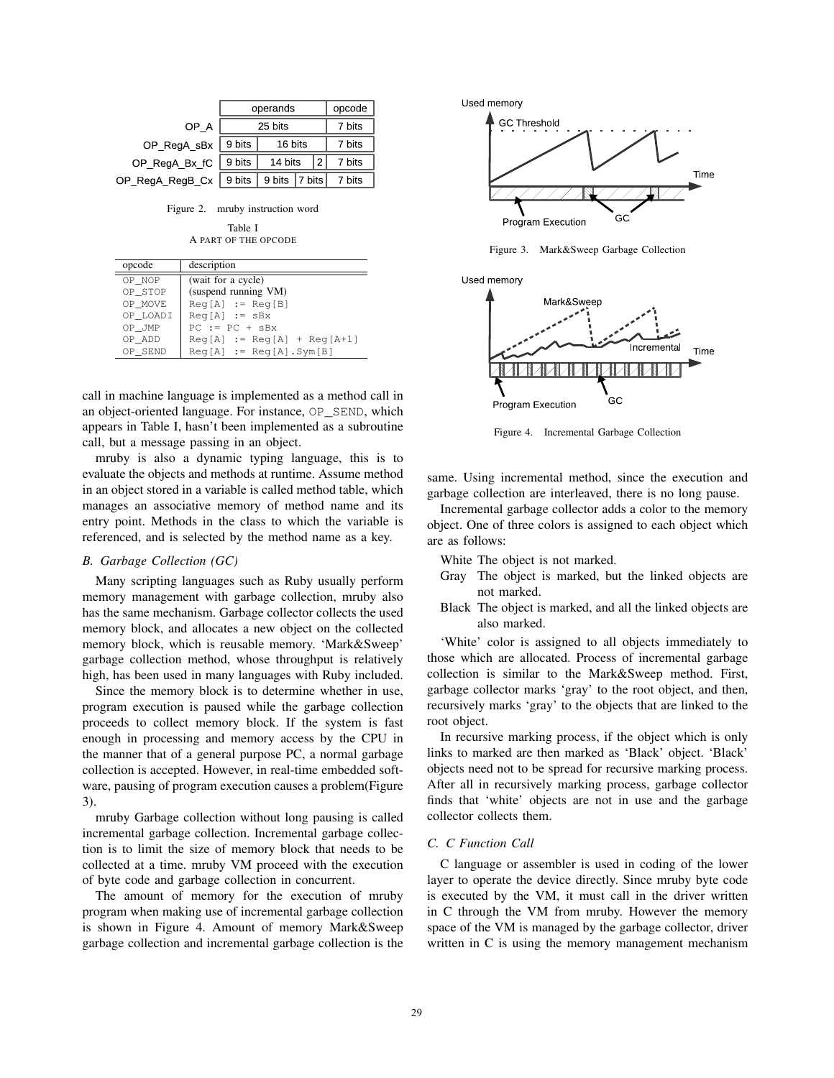|                          | operands |         | opcode         |                      |
|--------------------------|----------|---------|----------------|----------------------|
| OP A                     | 25 bits  |         | 7 bits         |                      |
| OP_RegA_sBx              | 9 bits   | 16 bits |                | 7 bits               |
| OP_RegA_Bx_fC            | 9 bits   | 14 bits | 2 <sup>1</sup> | 7 bits               |
| OP_RegA_RegB_Cx   9 bits |          |         |                | 9 bits 7 bits 7 bits |

Figure 2. mruby instruction word

Table I A PART OF THE OPCODE

| opcode   | description                                        |
|----------|----------------------------------------------------|
| OP NOP   | (wait for a cycle)                                 |
| OP STOP  | (suspend running VM)                               |
| OP MOVE  | $\text{Reg}[A] := \text{Reg}[B]$                   |
| OP LOADI | $\text{Req}[A] := \text{sBx}$                      |
| OP JMP   | $PC := PC + SBX$                                   |
| OP ADD   | $\text{Reg}[A] := \text{Reg}[A] + \text{Reg}[A+1]$ |
| OP SEND  | $Reg[A] := Reg[A].Sym[B]$                          |

call in machine language is implemented as a method call in an object-oriented language. For instance, OP\_SEND, which appears in Table I, hasn't been implemented as a subroutine call, but a message passing in an object.

mruby is also a dynamic typing language, this is to evaluate the objects and methods at runtime. Assume method in an object stored in a variable is called method table, which manages an associative memory of method name and its entry point. Methods in the class to which the variable is referenced, and is selected by the method name as a key.

## *B. Garbage Collection (GC)*

Many scripting languages such as Ruby usually perform memory management with garbage collection, mruby also has the same mechanism. Garbage collector collects the used memory block, and allocates a new object on the collected memory block, which is reusable memory. 'Mark&Sweep' garbage collection method, whose throughput is relatively high, has been used in many languages with Ruby included.

Since the memory block is to determine whether in use, program execution is paused while the garbage collection proceeds to collect memory block. If the system is fast enough in processing and memory access by the CPU in the manner that of a general purpose PC, a normal garbage collection is accepted. However, in real-time embedded software, pausing of program execution causes a problem(Figure 3).

mruby Garbage collection without long pausing is called incremental garbage collection. Incremental garbage collection is to limit the size of memory block that needs to be collected at a time. mruby VM proceed with the execution of byte code and garbage collection in concurrent.

The amount of memory for the execution of mruby program when making use of incremental garbage collection is shown in Figure 4. Amount of memory Mark&Sweep garbage collection and incremental garbage collection is the



Figure 3. Mark&Sweep Garbage Collection

Used memory



Figure 4. Incremental Garbage Collection

same. Using incremental method, since the execution and garbage collection are interleaved, there is no long pause.

Incremental garbage collector adds a color to the memory object. One of three colors is assigned to each object which are as follows:

White The object is not marked.

- Gray The object is marked, but the linked objects are not marked.
- Black The object is marked, and all the linked objects are also marked.

'White' color is assigned to all objects immediately to those which are allocated. Process of incremental garbage collection is similar to the Mark&Sweep method. First, garbage collector marks 'gray' to the root object, and then, recursively marks 'gray' to the objects that are linked to the root object.

In recursive marking process, if the object which is only links to marked are then marked as 'Black' object. 'Black' objects need not to be spread for recursive marking process. After all in recursively marking process, garbage collector finds that 'white' objects are not in use and the garbage collector collects them.

## *C. C Function Call*

C language or assembler is used in coding of the lower layer to operate the device directly. Since mruby byte code is executed by the VM, it must call in the driver written in C through the VM from mruby. However the memory space of the VM is managed by the garbage collector, driver written in C is using the memory management mechanism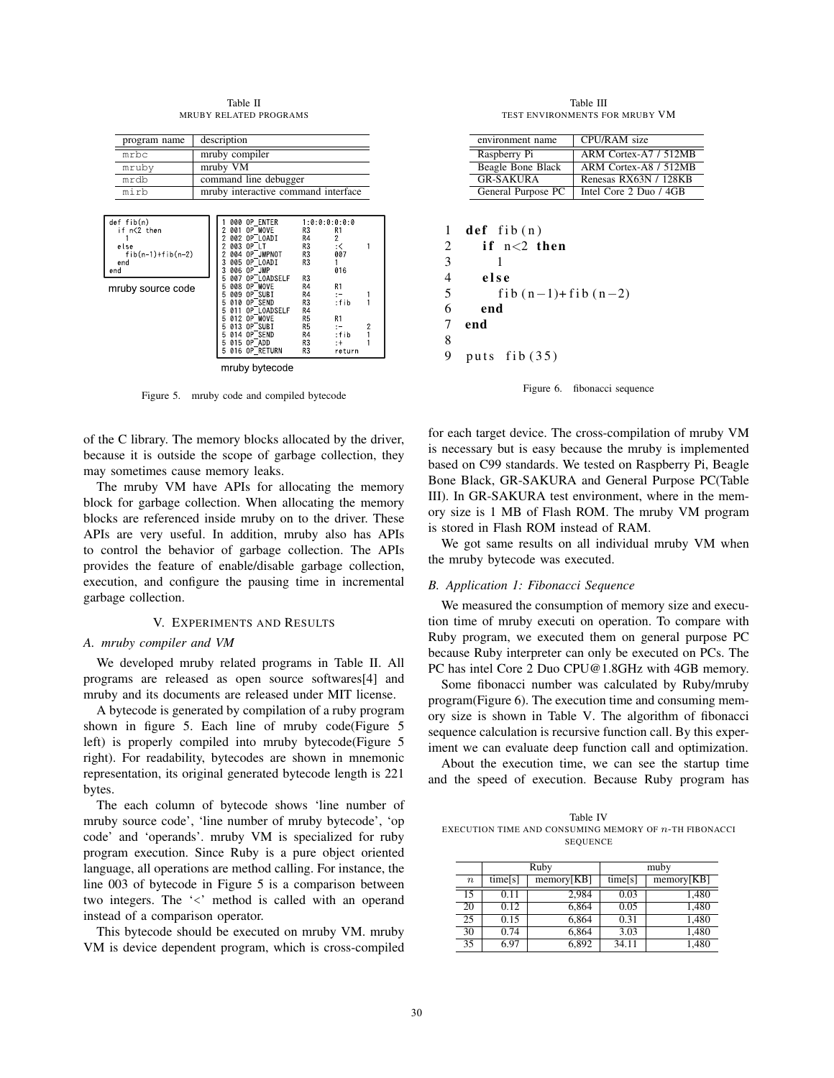Table II MRUBY RELATED PROGRAMS

|                                  | program name                                            | description    |                                                                                                                                                                                                                                                                                                                                                                                                 |                                                                                              |                                                                                                 |  |
|----------------------------------|---------------------------------------------------------|----------------|-------------------------------------------------------------------------------------------------------------------------------------------------------------------------------------------------------------------------------------------------------------------------------------------------------------------------------------------------------------------------------------------------|----------------------------------------------------------------------------------------------|-------------------------------------------------------------------------------------------------|--|
| mrbc                             |                                                         | mruby compiler |                                                                                                                                                                                                                                                                                                                                                                                                 |                                                                                              |                                                                                                 |  |
| mruby                            |                                                         |                | mruby VM                                                                                                                                                                                                                                                                                                                                                                                        |                                                                                              |                                                                                                 |  |
| mrdb                             |                                                         |                | command line debugger                                                                                                                                                                                                                                                                                                                                                                           |                                                                                              |                                                                                                 |  |
| mirb                             |                                                         |                | mruby interactive command interface                                                                                                                                                                                                                                                                                                                                                             |                                                                                              |                                                                                                 |  |
|                                  |                                                         |                |                                                                                                                                                                                                                                                                                                                                                                                                 |                                                                                              |                                                                                                 |  |
| def fib(n)<br>else<br>end<br>end | if nく2 then<br>$fib(n-1)+fib(n-2)$<br>mruby source code |                | 000 OP ENTER<br>OP MOVE<br>001<br>2<br>$\overline{c}$<br>002 OP LOADI<br>$\overline{c}$<br>OP LT<br>003<br>004 OP JMPNOT<br>$\overline{c}$<br>3<br>OP LOADI<br>005<br>3<br>006 OP JMP<br>5<br>OP LOADSELF<br>007<br>5<br><b>008 OP MOVE</b><br>5<br>009<br>OP SUBI<br>5<br>OP SEND<br>010<br>5<br>OP LOADSELF<br>5<br>012 OP MOVE<br>5<br>013<br>OP SUBI<br>5<br>014 OP SEND<br>5<br>015 OP ADD | R3<br>R4<br>R3<br>R3<br>R3<br>R3<br>R4<br>R4<br>R3<br>R4<br>R5<br>R <sub>5</sub><br>R4<br>R3 | 1:0:0:0:0:0:0<br>R1<br>2<br>:<<br>007<br>016<br>R1<br>$\cdot$ –<br>$:$ fib<br>R1<br>:fib<br>: + |  |
|                                  |                                                         |                | 5<br>016 OP RETURN                                                                                                                                                                                                                                                                                                                                                                              | R3                                                                                           | return                                                                                          |  |
|                                  |                                                         |                | mruby bytecode                                                                                                                                                                                                                                                                                                                                                                                  |                                                                                              |                                                                                                 |  |

Figure 5. mruby code and compiled bytecode

of the C library. The memory blocks allocated by the driver, because it is outside the scope of garbage collection, they may sometimes cause memory leaks.

The mruby VM have APIs for allocating the memory block for garbage collection. When allocating the memory blocks are referenced inside mruby on to the driver. These APIs are very useful. In addition, mruby also has APIs to control the behavior of garbage collection. The APIs provides the feature of enable/disable garbage collection, execution, and configure the pausing time in incremental garbage collection.

### V. EXPERIMENTS AND RESULTS

## *A. mruby compiler and VM*

We developed mruby related programs in Table II. All programs are released as open source softwares[4] and mruby and its documents are released under MIT license.

A bytecode is generated by compilation of a ruby program shown in figure 5. Each line of mruby code(Figure 5 left) is properly compiled into mruby bytecode(Figure 5 right). For readability, bytecodes are shown in mnemonic representation, its original generated bytecode length is 221 bytes.

The each column of bytecode shows 'line number of mruby source code', 'line number of mruby bytecode', 'op code' and 'operands'. mruby VM is specialized for ruby program execution. Since Ruby is a pure object oriented language, all operations are method calling. For instance, the line 003 of bytecode in Figure 5 is a comparison between two integers. The '<' method is called with an operand instead of a comparison operator.

This bytecode should be executed on mruby VM. mruby VM is device dependent program, which is cross-compiled

Table III TEST ENVIRONMENTS FOR MRUBY VM

| environment name   | <b>CPU/RAM</b> size    |
|--------------------|------------------------|
| Raspberry Pi       | ARM Cortex-A7 / 512MB  |
| Beagle Bone Black  | ARM Cortex-A8 / 512MB  |
| <b>GR-SAKURA</b>   | Renesas RX63N / 128KB  |
| General Purpose PC | Intel Core 2 Duo / 4GB |

```
1 def fib(n)2 if n < 2 then
3 1
\begin{array}{cc} 4 & \text{else} \\ 5 & \text{fi} \end{array}5 fib (n-1)+ fib (n-2)<br>6 end
       end
7 end
8
9 puts fib (35)
```


for each target device. The cross-compilation of mruby VM is necessary but is easy because the mruby is implemented based on C99 standards. We tested on Raspberry Pi, Beagle Bone Black, GR-SAKURA and General Purpose PC(Table III). In GR-SAKURA test environment, where in the memory size is 1 MB of Flash ROM. The mruby VM program is stored in Flash ROM instead of RAM.

We got same results on all individual mruby VM when the mruby bytecode was executed.

## *B. Application 1: Fibonacci Sequence*

We measured the consumption of memory size and execution time of mruby executi on operation. To compare with Ruby program, we executed them on general purpose PC because Ruby interpreter can only be executed on PCs. The PC has intel Core 2 Duo CPU@1.8GHz with 4GB memory.

Some fibonacci number was calculated by Ruby/mruby program(Figure 6). The execution time and consuming memory size is shown in Table V. The algorithm of fibonacci sequence calculation is recursive function call. By this experiment we can evaluate deep function call and optimization.

About the execution time, we can see the startup time and the speed of execution. Because Ruby program has

Table IV EXECUTION TIME AND CONSUMING MEMORY OF  $n$ -TH FIBONACCI **SEQUENCE** 

|                  |         | Ruby       | muby    |            |  |
|------------------|---------|------------|---------|------------|--|
| $\boldsymbol{n}$ | time[s] | memory[KB] | time[s] | memory[KB] |  |
| 15               | 0.11    | 2,984      | 0.03    | 1,480      |  |
| 20               | 0.12    | 6,864      | 0.05    | 1,480      |  |
| 25               | 0.15    | 6,864      | 0.31    | 1,480      |  |
| 30               | 0.74    | 6,864      | 3.03    | 1,480      |  |
| 35               | 6.97    | 6,892      | 34.11   | 1,480      |  |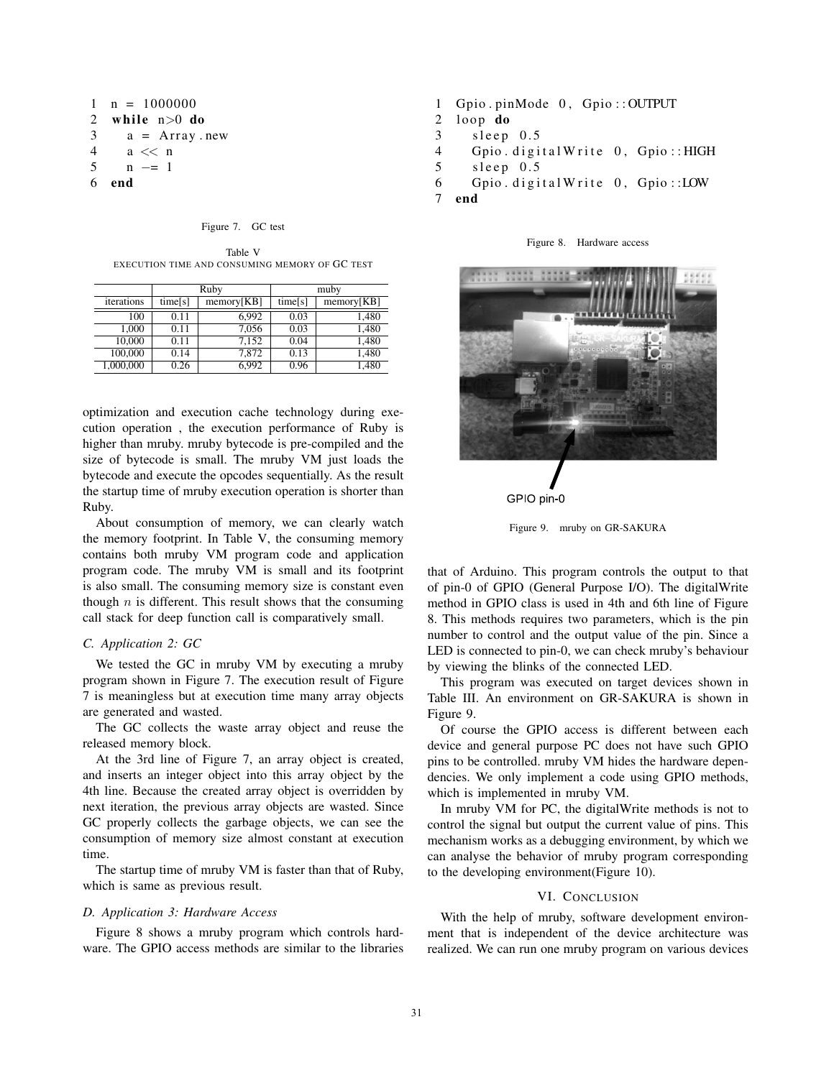```
1 \quad n = 10000002 while n>0 do
3 \text{ a} = \text{Array new}4 a << n
5 n −= 1<br>6 end
   6 end
```

| Figure 7. | GC test |  |
|-----------|---------|--|
|-----------|---------|--|

Table V EXECUTION TIME AND CONSUMING MEMORY OF GC TEST

|            | Ruby    |            | muby    |            |
|------------|---------|------------|---------|------------|
| iterations | time[s] | memory[KB] | time[s] | memory[KB] |
| 100        | 0.11    | 6.992      | 0.03    | 1,480      |
| 1.000      | 0.11    | 7,056      | 0.03    | 1,480      |
| 10,000     | 0.11    | 7,152      | 0.04    | 1,480      |
| 100,000    | 0.14    | 7,872      | 0.13    | 1,480      |
| 1,000,000  | 0.26    | 6,992      | 0.96    | 1,480      |

optimization and execution cache technology during execution operation , the execution performance of Ruby is higher than mruby. mruby bytecode is pre-compiled and the size of bytecode is small. The mruby VM just loads the bytecode and execute the opcodes sequentially. As the result the startup time of mruby execution operation is shorter than Ruby.

About consumption of memory, we can clearly watch the memory footprint. In Table V, the consuming memory contains both mruby VM program code and application program code. The mruby VM is small and its footprint is also small. The consuming memory size is constant even though  $n$  is different. This result shows that the consuming call stack for deep function call is comparatively small.

## *C. Application 2: GC*

We tested the GC in mruby VM by executing a mruby program shown in Figure 7. The execution result of Figure 7 is meaningless but at execution time many array objects are generated and wasted.

The GC collects the waste array object and reuse the released memory block.

At the 3rd line of Figure 7, an array object is created, and inserts an integer object into this array object by the 4th line. Because the created array object is overridden by next iteration, the previous array objects are wasted. Since GC properly collects the garbage objects, we can see the consumption of memory size almost constant at execution time.

The startup time of mruby VM is faster than that of Ruby, which is same as previous result.

## *D. Application 3: Hardware Access*

Figure 8 shows a mruby program which controls hardware. The GPIO access methods are similar to the libraries

- 1 Gpio . pinMode 0, Gpio:: OUTPUT
- 2 loop do
- 3 sleep 0.5
- 4 Gpio.digitalWrite 0, Gpio:: HIGH
- 5 sleep 0.5
- 6 Gpio.digitalWrite 0, Gpio::LOW

7 end

Figure 8. Hardware access



GPIO pin-0

Figure 9. mruby on GR-SAKURA

that of Arduino. This program controls the output to that of pin-0 of GPIO (General Purpose I/O). The digitalWrite method in GPIO class is used in 4th and 6th line of Figure 8. This methods requires two parameters, which is the pin number to control and the output value of the pin. Since a LED is connected to pin-0, we can check mruby's behaviour by viewing the blinks of the connected LED.

This program was executed on target devices shown in Table III. An environment on GR-SAKURA is shown in Figure 9.

Of course the GPIO access is different between each device and general purpose PC does not have such GPIO pins to be controlled. mruby VM hides the hardware dependencies. We only implement a code using GPIO methods, which is implemented in mruby VM.

In mruby VM for PC, the digitalWrite methods is not to control the signal but output the current value of pins. This mechanism works as a debugging environment, by which we can analyse the behavior of mruby program corresponding to the developing environment(Figure 10).

#### VI. CONCLUSION

With the help of mruby, software development environment that is independent of the device architecture was realized. We can run one mruby program on various devices